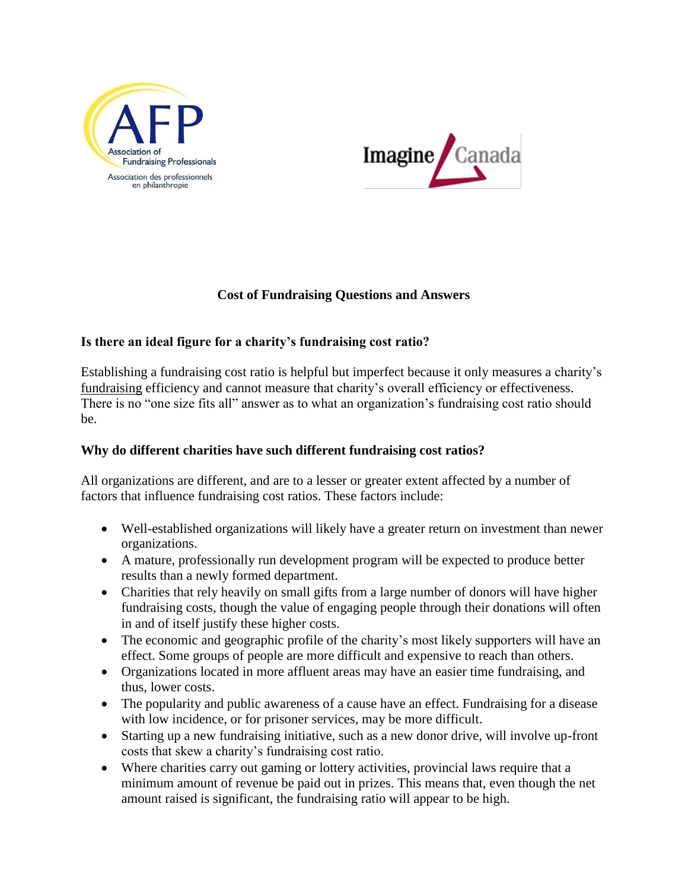



# **Cost of Fundraising Questions and Answers**

# **Is there an ideal figure for a charity's fundraising cost ratio?**

Establishing a fundraising cost ratio is helpful but imperfect because it only measures a charity's fundraising efficiency and cannot measure that charity's overall efficiency or effectiveness. There is no "one size fits all" answer as to what an organization's fundraising cost ratio should be.

### **Why do different charities have such different fundraising cost ratios?**

All organizations are different, and are to a lesser or greater extent affected by a number of factors that influence fundraising cost ratios. These factors include:

- Well-established organizations will likely have a greater return on investment than newer organizations.
- A mature, professionally run development program will be expected to produce better results than a newly formed department.
- Charities that rely heavily on small gifts from a large number of donors will have higher fundraising costs, though the value of engaging people through their donations will often in and of itself justify these higher costs.
- The economic and geographic profile of the charity's most likely supporters will have an effect. Some groups of people are more difficult and expensive to reach than others.
- Organizations located in more affluent areas may have an easier time fundraising, and thus, lower costs.
- The popularity and public awareness of a cause have an effect. Fundraising for a disease with low incidence, or for prisoner services, may be more difficult.
- Starting up a new fundraising initiative, such as a new donor drive, will involve up-front costs that skew a charity's fundraising cost ratio.
- Where charities carry out gaming or lottery activities, provincial laws require that a minimum amount of revenue be paid out in prizes. This means that, even though the net amount raised is significant, the fundraising ratio will appear to be high.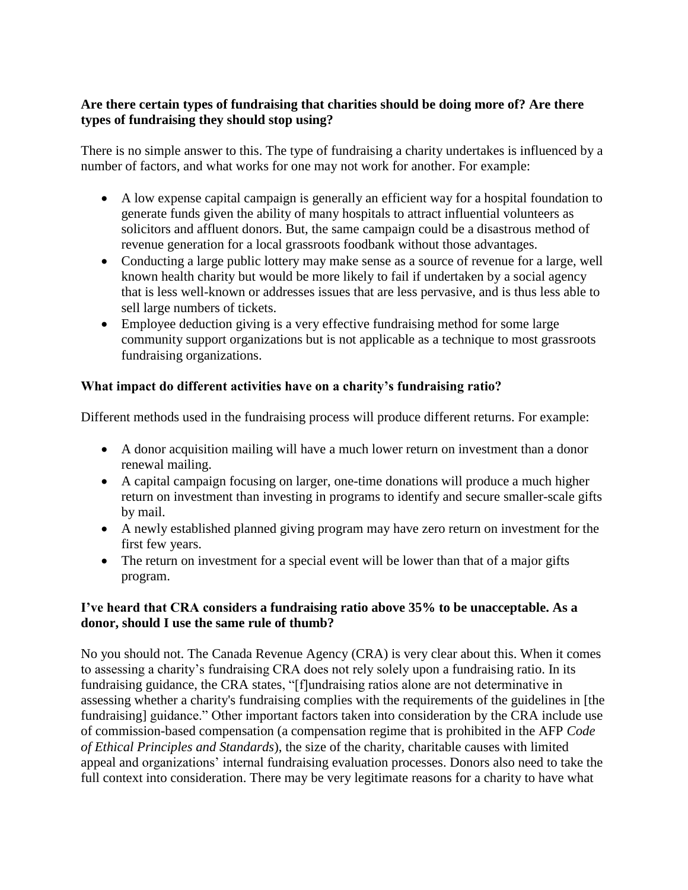# **Are there certain types of fundraising that charities should be doing more of? Are there types of fundraising they should stop using?**

There is no simple answer to this. The type of fundraising a charity undertakes is influenced by a number of factors, and what works for one may not work for another. For example:

- A low expense capital campaign is generally an efficient way for a hospital foundation to generate funds given the ability of many hospitals to attract influential volunteers as solicitors and affluent donors. But, the same campaign could be a disastrous method of revenue generation for a local grassroots foodbank without those advantages.
- Conducting a large public lottery may make sense as a source of revenue for a large, well known health charity but would be more likely to fail if undertaken by a social agency that is less well-known or addresses issues that are less pervasive, and is thus less able to sell large numbers of tickets.
- Employee deduction giving is a very effective fundraising method for some large community support organizations but is not applicable as a technique to most grassroots fundraising organizations.

# **What impact do different activities have on a charity's fundraising ratio?**

Different methods used in the fundraising process will produce different returns. For example:

- A donor acquisition mailing will have a much lower return on investment than a donor renewal mailing.
- A capital campaign focusing on larger, one-time donations will produce a much higher return on investment than investing in programs to identify and secure smaller-scale gifts by mail.
- A newly established planned giving program may have zero return on investment for the first few years.
- The return on investment for a special event will be lower than that of a major gifts program.

#### **I've heard that CRA considers a fundraising ratio above 35% to be unacceptable. As a donor, should I use the same rule of thumb?**

No you should not. The Canada Revenue Agency (CRA) is very clear about this. When it comes to assessing a charity's fundraising CRA does not rely solely upon a fundraising ratio. In its fundraising guidance, the CRA states, "[f]undraising ratios alone are not determinative in assessing whether a charity's fundraising complies with the requirements of the guidelines in [the fundraising] guidance." Other important factors taken into consideration by the CRA include use of commission-based compensation (a compensation regime that is prohibited in the AFP *Code of Ethical Principles and Standards*), the size of the charity, charitable causes with limited appeal and organizations' internal fundraising evaluation processes. Donors also need to take the full context into consideration. There may be very legitimate reasons for a charity to have what